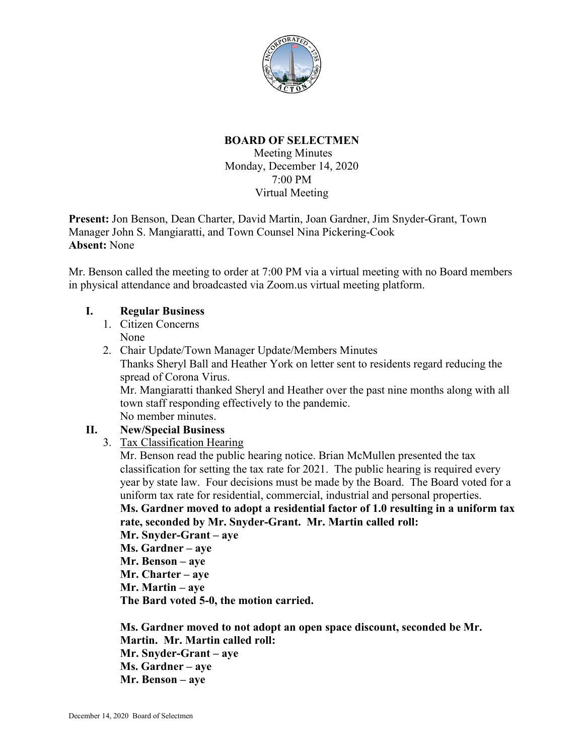

## **BOARD OF SELECTMEN**

Meeting Minutes Monday, December 14, 2020 7:00 PM Virtual Meeting

**Present:** Jon Benson, Dean Charter, David Martin, Joan Gardner, Jim Snyder-Grant, Town Manager John S. Mangiaratti, and Town Counsel Nina Pickering-Cook **Absent:** None

Mr. Benson called the meeting to order at 7:00 PM via a virtual meeting with no Board members in physical attendance and broadcasted via Zoom.us virtual meeting platform.

## **I. Regular Business**

- 1. Citizen Concerns None
- 2. Chair Update/Town Manager Update/Members Minutes Thanks Sheryl Ball and Heather York on letter sent to residents regard reducing the spread of Corona Virus. Mr. Mangiaratti thanked Sheryl and Heather over the past nine months along with all town staff responding effectively to the pandemic. No member minutes. **II. New/Special Business**
	- 3. Tax Classification Hearing

Mr. Benson read the public hearing notice. Brian McMullen presented the tax classification for setting the tax rate for 2021. The public hearing is required every year by state law. Four decisions must be made by the Board. The Board voted for a uniform tax rate for residential, commercial, industrial and personal properties.

**Ms. Gardner moved to adopt a residential factor of 1.0 resulting in a uniform tax rate, seconded by Mr. Snyder-Grant. Mr. Martin called roll:**

**Mr. Snyder-Grant – aye**

**Ms. Gardner – aye**

**Mr. Benson – aye**

**Mr. Charter – aye**

**Mr. Martin – aye**

**The Bard voted 5-0, the motion carried.**

**Ms. Gardner moved to not adopt an open space discount, seconded be Mr. Martin. Mr. Martin called roll: Mr. Snyder-Grant – aye Ms. Gardner – aye Mr. Benson – aye**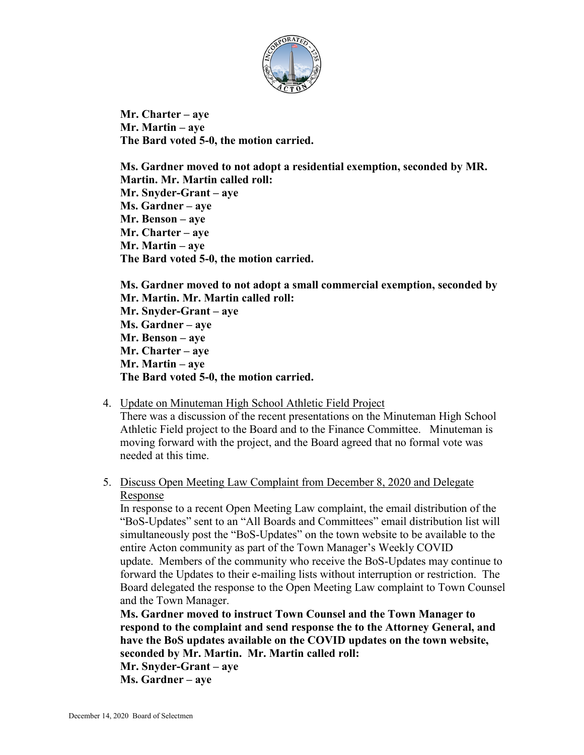

**Mr. Charter – aye Mr. Martin – aye The Bard voted 5-0, the motion carried.**

**Ms. Gardner moved to not adopt a residential exemption, seconded by MR. Martin. Mr. Martin called roll: Mr. Snyder-Grant – aye Ms. Gardner – aye Mr. Benson – aye Mr. Charter – aye Mr. Martin – aye The Bard voted 5-0, the motion carried.**

**Ms. Gardner moved to not adopt a small commercial exemption, seconded by Mr. Martin. Mr. Martin called roll: Mr. Snyder-Grant – aye Ms. Gardner – aye Mr. Benson – aye Mr. Charter – aye Mr. Martin – aye The Bard voted 5-0, the motion carried.**

#### 4. Update on Minuteman High School Athletic Field Project

There was a discussion of the recent presentations on the Minuteman High School Athletic Field project to the Board and to the Finance Committee. Minuteman is moving forward with the project, and the Board agreed that no formal vote was needed at this time.

#### 5. Discuss Open Meeting Law Complaint from December 8, 2020 and Delegate Response

In response to a recent Open Meeting Law complaint, the email distribution of the "BoS-Updates" sent to an "All Boards and Committees" email distribution list will simultaneously post the "BoS-Updates" on the town website to be available to the entire Acton community as part of the Town Manager's Weekly COVID update. Members of the community who receive the BoS-Updates may continue to forward the Updates to their e-mailing lists without interruption or restriction. The Board delegated the response to the Open Meeting Law complaint to Town Counsel and the Town Manager.

**Ms. Gardner moved to instruct Town Counsel and the Town Manager to respond to the complaint and send response the to the Attorney General, and have the BoS updates available on the COVID updates on the town website, seconded by Mr. Martin. Mr. Martin called roll:**

**Mr. Snyder-Grant – aye Ms. Gardner – aye**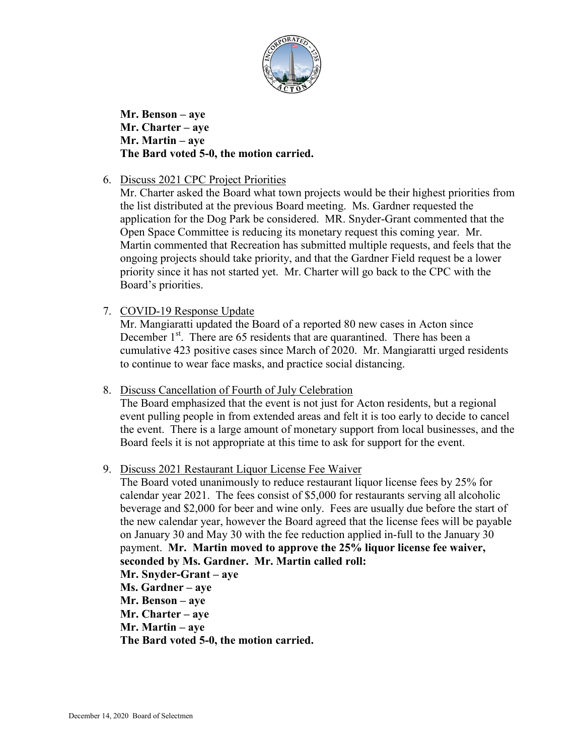

**Mr. Benson – aye Mr. Charter – aye Mr. Martin – aye The Bard voted 5-0, the motion carried.**

6. Discuss 2021 CPC Project Priorities

Mr. Charter asked the Board what town projects would be their highest priorities from the list distributed at the previous Board meeting. Ms. Gardner requested the application for the Dog Park be considered. MR. Snyder-Grant commented that the Open Space Committee is reducing its monetary request this coming year. Mr. Martin commented that Recreation has submitted multiple requests, and feels that the ongoing projects should take priority, and that the Gardner Field request be a lower priority since it has not started yet. Mr. Charter will go back to the CPC with the Board's priorities.

7. COVID-19 Response Update

Mr. Mangiaratti updated the Board of a reported 80 new cases in Acton since December  $1<sup>st</sup>$ . There are 65 residents that are quarantined. There has been a cumulative 423 positive cases since March of 2020. Mr. Mangiaratti urged residents to continue to wear face masks, and practice social distancing.

8. Discuss Cancellation of Fourth of July Celebration

The Board emphasized that the event is not just for Acton residents, but a regional event pulling people in from extended areas and felt it is too early to decide to cancel the event. There is a large amount of monetary support from local businesses, and the Board feels it is not appropriate at this time to ask for support for the event.

9. Discuss 2021 Restaurant Liquor License Fee Waiver

The Board voted unanimously to reduce restaurant liquor license fees by 25% for calendar year 2021. The fees consist of \$5,000 for restaurants serving all alcoholic beverage and \$2,000 for beer and wine only. Fees are usually due before the start of the new calendar year, however the Board agreed that the license fees will be payable on January 30 and May 30 with the fee reduction applied in-full to the January 30 payment. **Mr. Martin moved to approve the 25% liquor license fee waiver, seconded by Ms. Gardner. Mr. Martin called roll:**

**Mr. Snyder-Grant – aye**

**Ms. Gardner – aye**

**Mr. Benson – aye**

**Mr. Charter – aye**

**Mr. Martin – aye**

**The Bard voted 5-0, the motion carried.**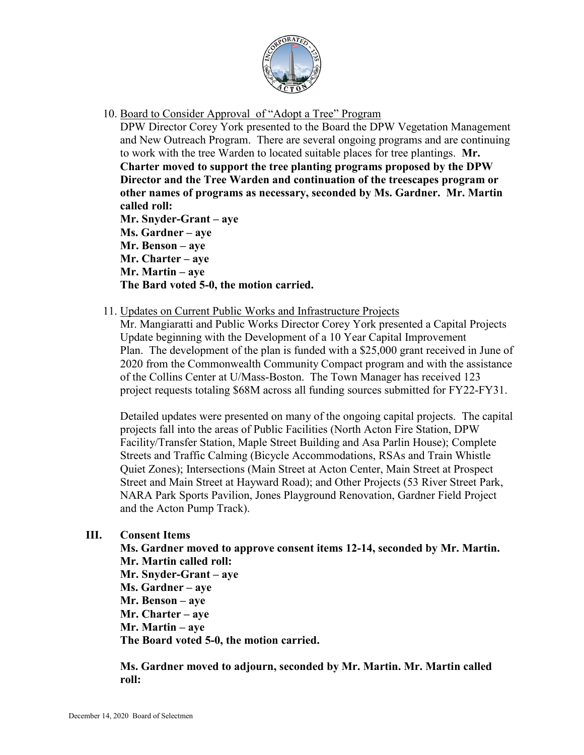

10. Board to Consider Approval of "Adopt a Tree" Program

DPW Director Corey York presented to the Board the DPW Vegetation Management and New Outreach Program. There are several ongoing programs and are continuing to work with the tree Warden to located suitable places for tree plantings. **Mr. Charter moved to support the tree planting programs proposed by the DPW Director and the Tree Warden and continuation of the treescapes program or other names of programs as necessary, seconded by Ms. Gardner. Mr. Martin called roll:**

**Mr. Snyder-Grant – aye Ms. Gardner – aye Mr. Benson – aye Mr. Charter – aye Mr. Martin – aye The Bard voted 5-0, the motion carried.**

11. Updates on Current Public Works and Infrastructure Projects

Mr. Mangiaratti and Public Works Director Corey York presented a Capital Projects Update beginning with the Development of a 10 Year Capital Improvement Plan. The development of the plan is funded with a \$25,000 grant received in June of 2020 from the Commonwealth Community Compact program and with the assistance of the Collins Center at U/Mass-Boston. The Town Manager has received 123 project requests totaling \$68M across all funding sources submitted for FY22-FY31.

Detailed updates were presented on many of the ongoing capital projects. The capital projects fall into the areas of Public Facilities (North Acton Fire Station, DPW Facility/Transfer Station, Maple Street Building and Asa Parlin House); Complete Streets and Traffic Calming (Bicycle Accommodations, RSAs and Train Whistle Quiet Zones); Intersections (Main Street at Acton Center, Main Street at Prospect Street and Main Street at Hayward Road); and Other Projects (53 River Street Park, NARA Park Sports Pavilion, Jones Playground Renovation, Gardner Field Project and the Acton Pump Track).

# **III. Consent Items**

**Ms. Gardner moved to approve consent items 12-14, seconded by Mr. Martin. Mr. Martin called roll:**

**Mr. Snyder-Grant – aye Ms. Gardner – aye Mr. Benson – aye Mr. Charter – aye Mr. Martin – aye The Board voted 5-0, the motion carried.**

**Ms. Gardner moved to adjourn, seconded by Mr. Martin. Mr. Martin called roll:**